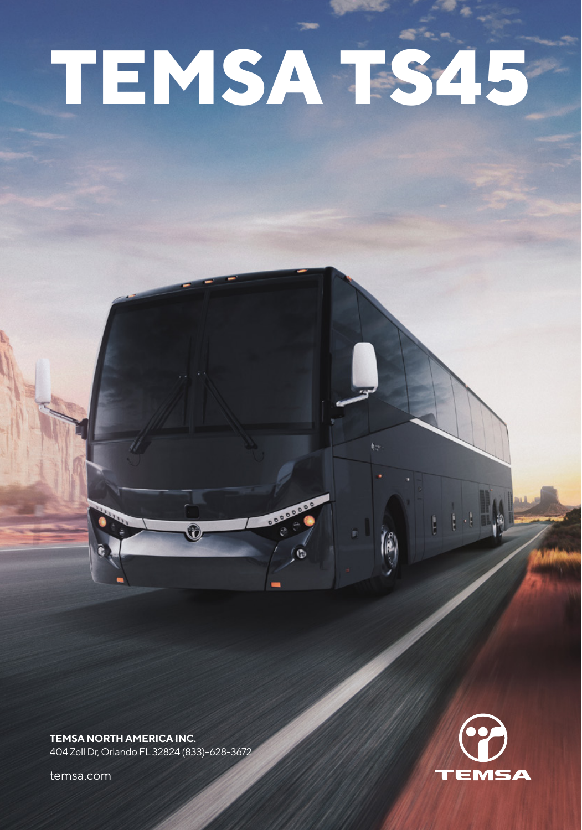# **TEMSA TS45**

**TEMSA NORTH AMERICA INC.** 404 Zell Dr, Orlando FL 32824 (833)-628-3672

 $\Omega$ 

temsa.com

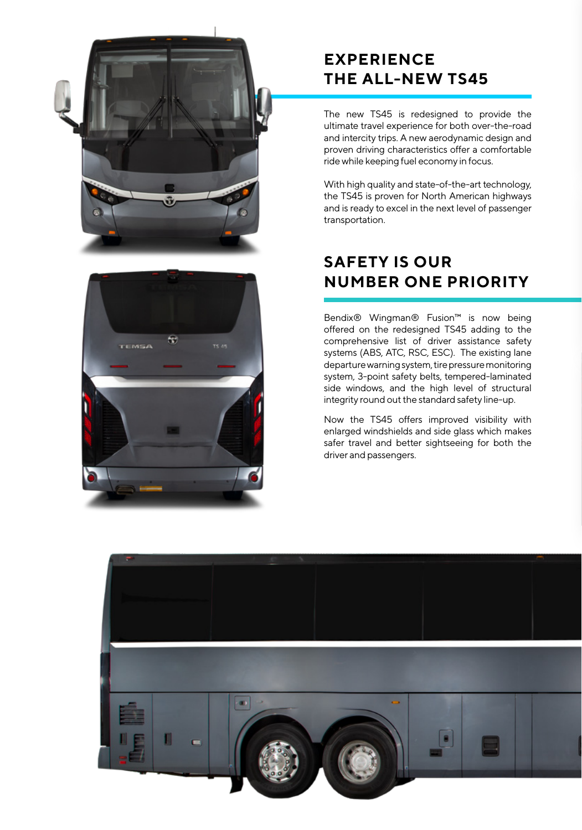



# **EXPERIENCE THE ALL-NEW TS45**

The new TS45 is redesigned to provide the ultimate travel experience for both over-the-road and intercity trips. A new aerodynamic design and proven driving characteristics offer a comfortable ride while keeping fuel economy in focus.

With high quality and state-of-the-art technology, the TS45 is proven for North American highways and is ready to excel in the next level of passenger transportation.

# **SAFETY IS OUR NUMBER ONE PRIORITY**

Bendix® Wingman® Fusion™ is now being offered on the redesigned TS45 adding to the comprehensive list of driver assistance safety systems (ABS, ATC, RSC, ESC). The existing lane departure warning system, tire pressure monitoring system, 3-point safety belts, tempered-laminated side windows, and the high level of structural integrity round out the standard safety line-up.

Now the TS45 offers improved visibility with enlarged windshields and side glass which makes safer travel and better sightseeing for both the driver and passengers.

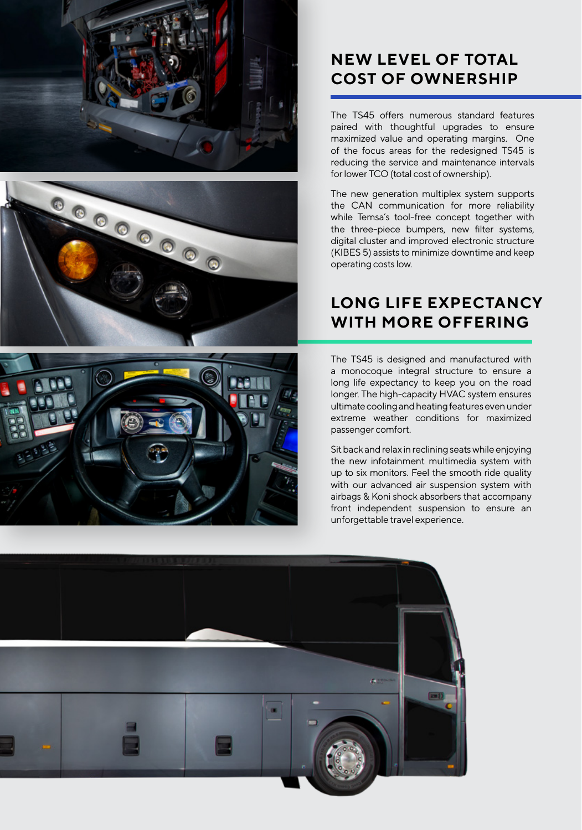





The TS45 offers numerous standard features paired with thoughtful upgrades to ensure maximized value and operating margins. One of the focus areas for the redesigned TS45 is reducing the service and maintenance intervals for lower TCO (total cost of ownership).

The new generation multiplex system supports the CAN communication for more reliability while Temsa's tool-free concept together with the three-piece bumpers, new filter systems, digital cluster and improved electronic structure (KIBES 5) assists to minimize downtime and keep operating costs low.

# **LONG LIFE EXPECTANCY WITH MORE OFFERING**

The TS45 is designed and manufactured with a monocoque integral structure to ensure a long life expectancy to keep you on the road longer. The high-capacity HVAC system ensures ultimate cooling and heating features even under extreme weather conditions for maximized passenger comfort.

Sit back and relax in reclining seats while enjoying the new infotainment multimedia system with up to six monitors. Feel the smooth ride quality with our advanced air suspension system with airbags & Koni shock absorbers that accompany front independent suspension to ensure an unforgettable travel experience.